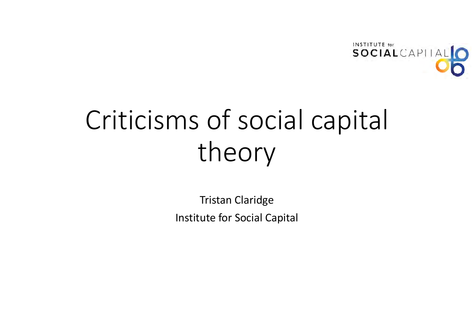

# Criticisms of social capital theory

Tristan Claridge Institute for Social Capital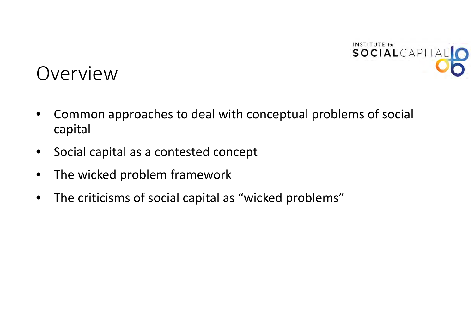

## Overview

- • Common approaches to deal with conceptual problems of social capital
- $\bullet$ Social capital as <sup>a</sup> contested concept
- $\bullet$ • The wicked problem framework
- $\bullet$ The criticisms of social capital as "wicked problems"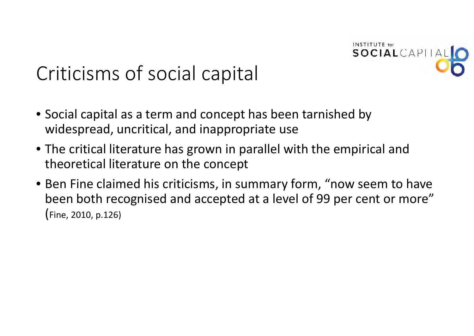

## Criticisms of social capital

- Social capital as <sup>a</sup> term and concept has been tarnished by widespread, uncritical, and inappropriate use
- The critical literature has grown in parallel with the empirical and theoretical literature on the concept
- Ben Fine claimed his criticisms, in summary form, "now seem to have been both recognised and accepted at <sup>a</sup> level of 99 per cent or more" (Fine, 2010, p.126)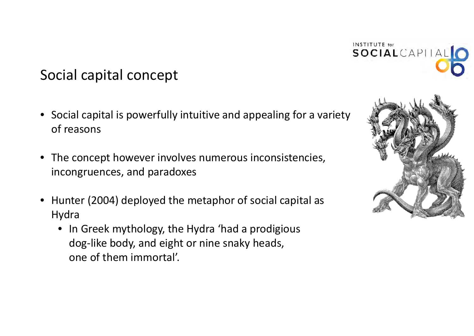

## Social capital concept

- Social capital is powerfully intuitive and appealing for <sup>a</sup> variety of reasons
- The concept however involves numerous inconsistencies, incongruences, and paradoxes
- Hunter (2004) deployed the metaphor of social capital as Hydra
	- In Greek mythology, the Hydra 'had <sup>a</sup> prodigious dog‐like body, and eight or nine snaky heads, one of them immortal'.

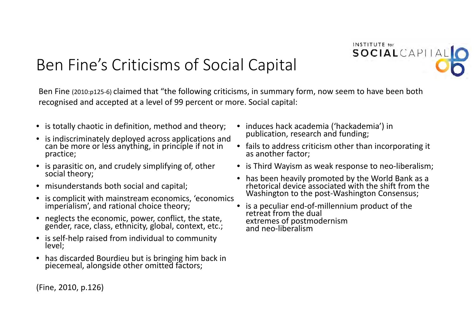## Ben Fine's Criticisms of Social Capital



- is totally chaotic in definition, method and theory;
- is indiscriminately deployed across applications and can be more or less anything, in principle if not in practice;
- is parasitic on, and crudely simplifying of, other socialsocial theory;
- misunderstands both social and capital;
- $\bullet$ is complicit with mainstream economics, 'economics imperialism', and rational choice theory;
- neglects the economic, power, conflict, the state, gender, race, class, ethnicity, global, context, etc.;
- is self-help raised from individual to community level;
- has discardedpiecemeal, alongside other omitted factors;
- (Fine, 2010, p.126)
- induces hack academia ('hackademia') in publication, research and funding;
- fails to address criticism other than incorporating it as another factor;

**INSTITUTE** for

SOCIALCAPITAL

- is Third Wayism as weak response to neo‐liberalism;
- has been heavily promoted by the World Bank as <sup>a</sup> rhetoricalI device associated with the shift from the Washington to the post-Washington Consensus;
- is a peculiar end‐of‐millennium product of the retreat from the dual extremes of postmodernism<br>and neo-liberalism and neo-liberalism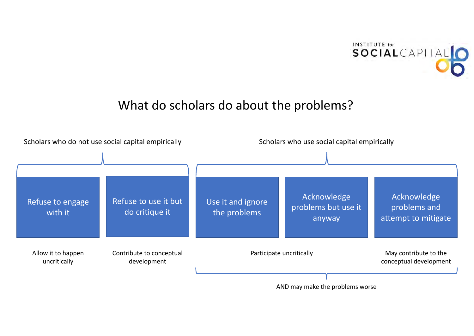

#### What do scholars do about the problems?

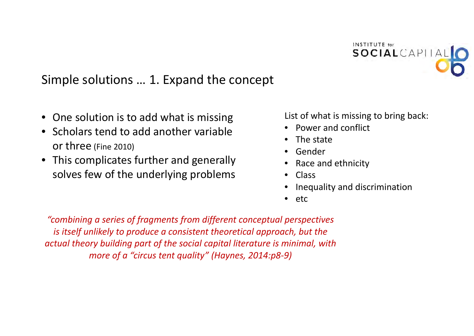

#### Simple solutions … 1. Expand the concept

- One solution is to add what is missing
- Scholars tend to add another variable or three (Fine 2010)
- This complicates further and generally solves few of the underlying problems

List of what is missing to bring back:

- Power and conflict
- The state
- Gender
- •• Race and ethnicity
- Class
- •Inequality and discrimination
- $\bullet$ • etc

*"combining <sup>a</sup> series of fragments from different conceptual perspectives is itself unlikely to produce <sup>a</sup> consistent theoretical approach, but the actual theory building part of the social capital literature is minimal, with more of <sup>a</sup> "circus tent quality" (Haynes, 2014:p8‐9)*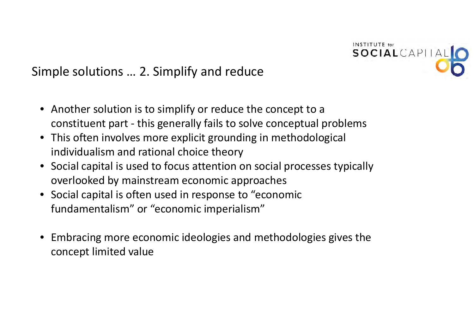

#### Simple solutions … 2. Simplify and reduce

- Another solution is to simplify or reduce the concept to <sup>a</sup> constituent part ‐ this generally fails to solve conceptual problems
- This often involves more explicit grounding in methodological individualism and rational choice theory
- Social capital is used to focus attention on social processes typically overlooked by mainstream economic approaches
- Social capital is often used in response to "economic fundamentalism" or "economic imperialism"
- Embracing more economic ideologies and methodologies gives the concept limited value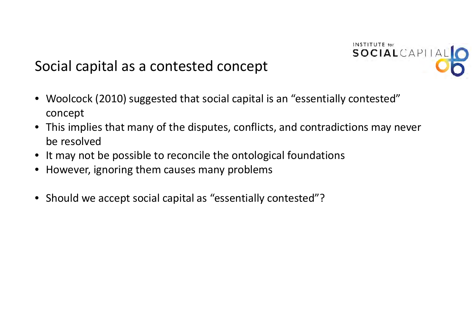

## Social capital as <sup>a</sup> contested concept

- Woolcock (2010) suggested that social capital is an "essentially contested" concept
- This implies that many of the disputes, conflicts, and contradictions may never be resolved
- It may not be possible to reconcile the ontological foundations
- However, ignoring them causes many problems
- Should we accept social capital as "essentially contested"?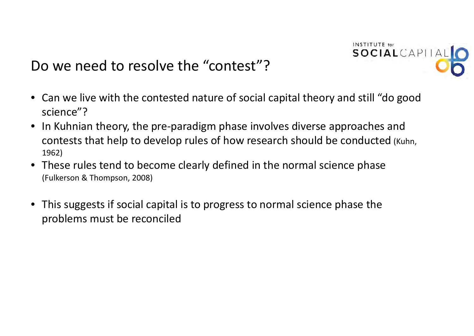

## Do we need to resolve the "contest"?

- Can we live with the contested nature of social capital theory and still "do good science"?
- In Kuhnian theory, the pre‐paradigm phase involves diverse approaches and contests that help to develop rules of how research should be conducted (Kuhn, 1962)
- These rules tend to become clearly defined in the normal science phase (Fulkerson & Thompson, 2008)
- This suggests if social capital is to progress to normal science phase the problems must be reconciled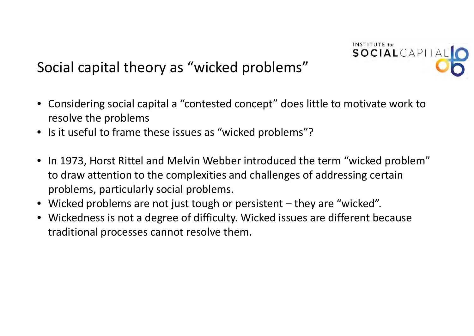

## Social capital theory as "wicked problems"

- Considering social capital <sup>a</sup> "contested concept" does little to motivate work to resolve the problems
- Is it useful to frame these issues as "wicked problems"?
- In 1973, Horst Rittel and Melvin Webber introduced the term "wicked problem" to draw attention to the complexities and challenges of addressing certain problems, particularly social problems.
- Wicked problems are not just tough or persistent they are "wicked".
- Wickedness is not a degree of difficulty. Wicked issues are different because traditional processes cannot resolve them.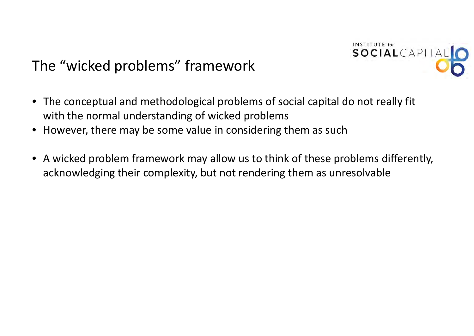

## The "wicked problems" framework

- The conceptual and methodological problems of social capital do not really fit with the normal understanding of wicked problems
- However, there may be some value in considering them as such
- A wicked problem framework may allow us to think of these problems differently, acknowledging their complexity, but not rendering them as unresolvable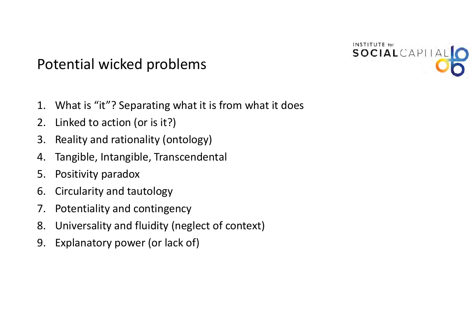### Potential wicked problems



- 1. What is "it"? Separating what it is from what it does
- 2. Linked to action (or is it?)
- 3. Reality and rationality (ontology)
- 4. Tangible, Intangible, Transcendental
- 5. Positivity paradox
- 6. Circularity and tautology
- 7. Potentiality and contingency
- 8. Universality and fluidity (neglect of context)
- 9. Explanatory power (or lack of)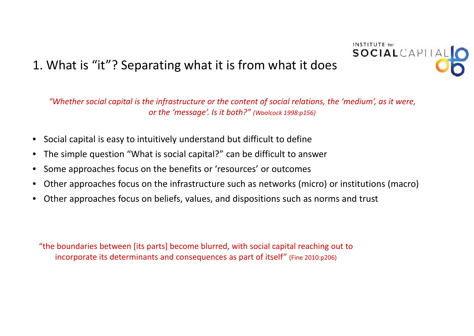#### 1. What is "it"? Separating what it is from what it does

"Whether social capital is the infrastructure or the content of social relations, the 'medium', as it were, *or the 'message'. Is it both?" (Woolcock 1998:p156)*

**INSTITUTE** for

SOCIALCAPITAL

- Social capital is easy to intuitively understand but difficult to define
- •The simple question "What is social capital?" can be difficult to answer
- •• Some approaches focus on the benefits or 'resources' or outcomes
- •Other approaches focus on the infrastructure such as networks (micro) or institutions (macro)
- $\bullet$ Other approaches focus on beliefs, values, and dispositions such as norms and trust

"the boundaries between [its parts] become blurred, with social capital reaching out to incorporate its determinants and consequences as part of itself" (Fine 2010:p206)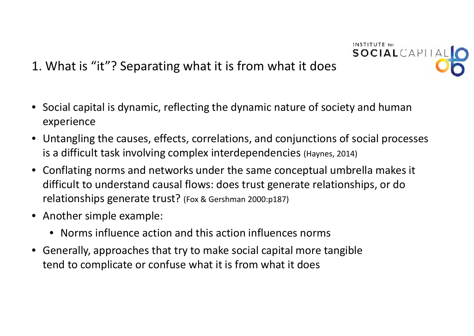#### 1. What is "it"? Separating what it is from what it does

- Social capital is dynamic, reflecting the dynamic nature of society and human experience
- Untangling the causes, effects, correlations, and conjunctions of social processes is a difficult task involving complex interdependencies (Haynes, 2014)

**INSTITUTE** for

SOCIALCAPITA

- Conflating norms and networks under the same conceptual umbrella makes it difficult to understand causal flows: does trust generate relationships, or do relationships generate trust? (Fox & Gershman 2000:p187)
- Another simple example:
	- Norms influence action and this action influences norms
- Generally, approaches that try to make social capital more tangible tend to complicate or confuse what it is from what it does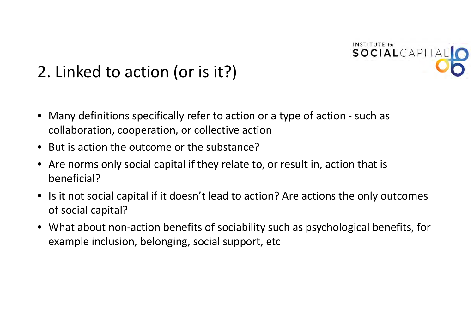

## 2. Linked to action (or is it?)

- • Many definitions specifically refer to action or <sup>a</sup> type of action ‐ such as collaboration, cooperation, or collective action
- •• But is action the outcome or the substance?
- • Are norms only social capital if they relate to, or result in, action that is beneficial?
- •• Is it not social capital if it doesn't lead to action? Are actions the only outcomes of social capital?
- • What about non‐action benefits of sociability such as psychological benefits, for example inclusion, belonging, social support, etc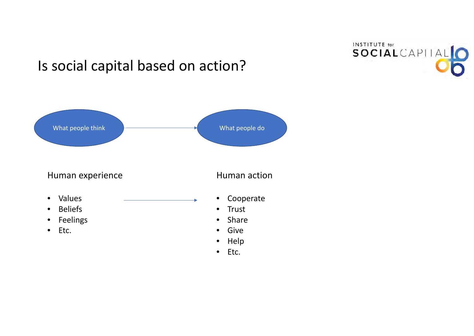

## Is social capital based on action?

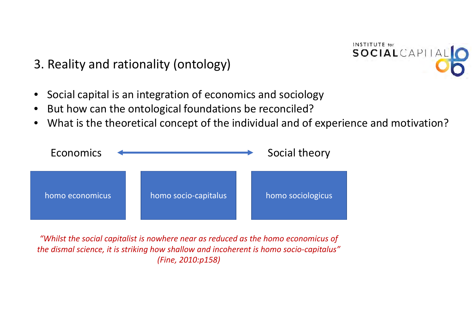3. Reality and rationality (ontology)



- $\bullet$ Social capital is an integration of economics and sociology
- •• But how can the ontological foundations be reconciled?
- •What is the theoretical concept of the individual and of experience and motivation?



*"Whilst the social capitalist is nowhere near as reduced as the homo economicus of the dismal science, it is striking how shallow and incoherent is homo socio‐capitalus" (Fine, 2010:p158)*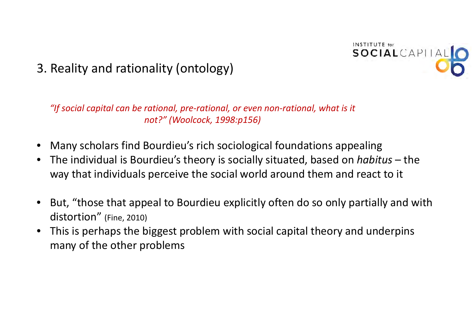

#### 3. Reality and rationality (ontology)

*"If social capital can be rational, pre‐rational, or even non‐rational, what is it not?" (Woolcock, 1998:p156)*

- •Many scholars find Bourdieu's rich sociological foundations appealing
- $\bullet$  The individual is Bourdieu's theory is socially situated, based on *habitus* – the way that individuals perceive the social world around them and react to it
- • But, "those that appeal to Bourdieu explicitly often do so only partially and with distortion" (Fine, 2010)
- • This is perhaps the biggest problem with social capital theory and underpins many of the other problems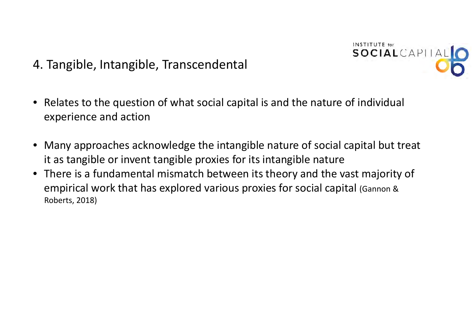4. Tangible, Intangible, Transcendental



- $\bullet$  Relates to the question of what social capital is and the nature of individual experience and action
- Many approaches acknowledge the intangible nature of social capital but treat it as tangible or invent tangible proxies for its intangible nature
- There is <sup>a</sup> fundamental mismatch between its theory and the vast majority of empirical work that has explored various proxies for social capital (Gannon & Roberts, 2018)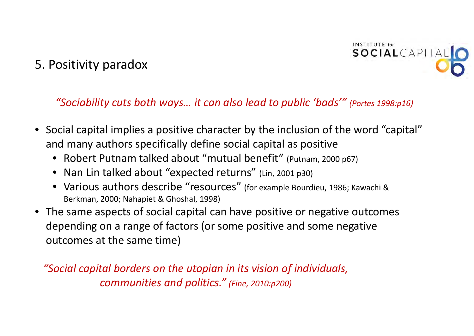#### 5. Positivity paradox



*"Sociability cuts both ways… it can also lead to public 'bads'" (Portes 1998:p16)*

- Social capital implies <sup>a</sup> positive character by the inclusion of the word "capital" and many authors specifically define social capital as positive
	- Robert Putnam talked about "mutual benefit" (Putnam, <sup>2000</sup> p67)
	- Nan Lin talked about "expected returns" (Lin, <sup>2001</sup> p30)
	- Various authors describe "resources" (for example Bourdieu, 1986; Kawachi & Berkman, 2000; Nahapiet & Ghoshal, 1998)
- The same aspects of social capital can have positive or negative outcomes depending on <sup>a</sup> range of factors (or some positive and some negative outcomes at the same time)

*"Social capital borders on the utopian in its vision of individuals, communities and politics." (Fine, 2010:p200)*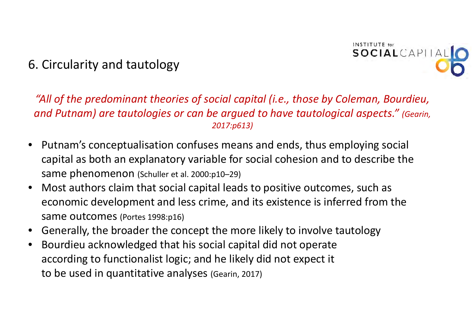#### 6. Circularity and tautology



#### *"All of the predominant theories of social capital (i.e., those by Coleman, Bourdieu, and Putnam) are tautologies or can be argued to have tautological aspects." (Gearin, 2017:p613)*

- •• Putnam's conceptualisation confuses means and ends, thus employing social capital as both an explanatory variable for social cohesion and to describe the same phenomenon (Schuller et al. 2000:p10–29)
- $\bullet$  Most authors claim that social capital leads to positive outcomes, such as economic development and less crime, and its existence is inferred from the same outcomes (Portes 1998:p16)
- •Generally, the broader the concept the more likely to involve tautology
- $\bullet$  Bourdieu acknowledged that his social capital did not operate according to functionalist logic; and he likely did not expect it to be used in quantitative analyses (Gearin, 2017)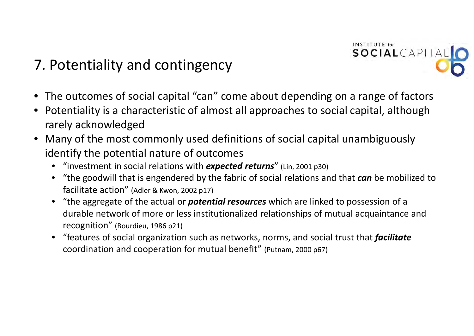## 7. Potentiality and contingency



**INSTITUTE** for

SOCIALCAPITAL

- • Potentiality is <sup>a</sup> characteristic of almost all approaches to social capital, although rarely acknowledged
- • Many of the most commonly used definitions of social capital unambiguously identify the potential nature of outcomes
	- "investment in social relations with *expected returns*" (Lin, <sup>2001</sup> p30)
	- "the goodwill that is engendered by the fabric of social relations and that *can* be mobilized to facilitate action" (Adler & Kwon, <sup>2002</sup> p17)
	- "the aggregate of the actual or *potential resources* which are linked to possession of <sup>a</sup> durable network of more or less institutionalized relationships of mutual acquaintance and recognition" (Bourdieu, <sup>1986</sup> p21)
	- "features of social organization such as networks, norms, and social trust that *facilitate* coordination and cooperation for mutual benefit" (Putnam, <sup>2000</sup> p67)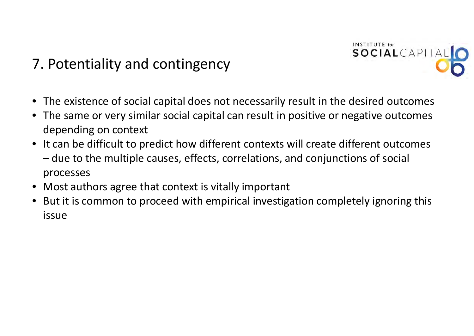## 7. Potentiality and contingency



- The existence of social capital does not necessarily result in the desired outcomes
- The same or very similar social capital can result in positive or negative outcomes depending on context
- It can be difficult to predict how different contexts will create different outcomes – due to the multiple causes, effects, correlations, and conjunctions of social processes
- Most authors agree that context is vitally important
- But it is common to proceed with empirical investigation completely ignoring this issue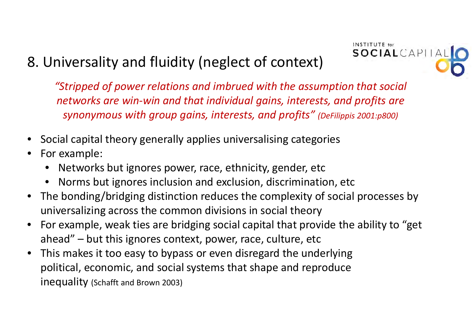## 8. Universality and fluidity (neglect of context)



*"Stripped of power relations and imbrued with the assumption that social networks are win‐win and that individual gains, interests, and profits are synonymous with group gains, interests, and profits" (DeFilippis 2001:p800)*

- •Social capital theory generally applies universalising categories
- • For example:
	- Networks but ignores power, race, ethnicity, gender, etc
	- Norms but ignores inclusion and exclusion, discrimination, etc
- $\bullet$  The bonding/bridging distinction reduces the complexity of social processes by universalizing across the common divisions in social theory
- $\bullet$  For example, weak ties are bridging social capital that provide the ability to "get ahead" – but this ignores context, power, race, culture, etc
- • This makes it too easy to bypass or even disregard the underlying political, economic, and social systems that shape and reproduce inequality (Schafft and Brown 2003)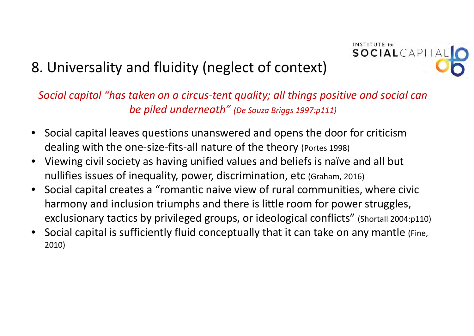

## 8. Universality and fluidity (neglect of context)

*Social capital "has taken on <sup>a</sup> circus‐tent quality; all things positive and social can be piled underneath" (De Souza Briggs 1997:p111)*

- Social capital leaves questions unanswered and opens the door for criticism dealing with the one‐size‐fits‐all nature of the theory (Portes 1998)
- Viewing civil society as having unified values and beliefs is naïve and all but nullifies issues of inequality, power, discrimination, etc (Graham, 2016)
- Social capital creates <sup>a</sup> "romantic naive view of rural communities, where civic harmony and inclusion triumphs and there is little room for power struggles, exclusionary tactics by privileged groups, or ideological conflicts" (Shortall 2004:p110)
- Social capital is sufficiently fluid conceptually that it can take on any mantle (Fine, 2010)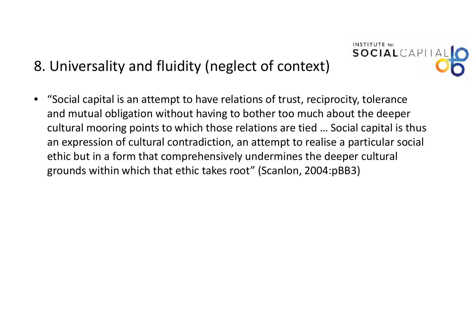## 8. Universality and fluidity (neglect of context)

• "Social capital is an attempt to have relations of trust, reciprocity, tolerance and mutual obligation without having to bother too much about the deeper cultural mooring points to which those relations are tied … Social capital is thus an expression of cultural contradiction, an attempt to realise <sup>a</sup> particular social ethic but in <sup>a</sup> form that comprehensively undermines the deeper cultural grounds within which that ethic takes root" (Scanlon, 2004:pBB3)

**INSTITUTE** for

SOCIALCAPITAL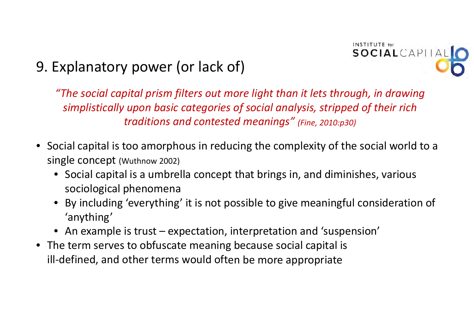

## 9. Explanatory power (or lack of)

*"The social capital prism filters out more light than it lets through, in drawing simplistically upon basic categories of social analysis, stripped of their rich traditions and contested meanings" (Fine, 2010:p30)*

- Social capital is too amorphous in reducing the complexity of the social world to <sup>a</sup> single concept (Wuthnow 2002)
	- Social capital is <sup>a</sup> umbrella concept that brings in, and diminishes, various sociological phenomena
	- • By including 'everything' it is not possible to give meaningful consideration of 'anything'
	- An example is trust expectation, interpretation and 'suspension'
- The term serves to obfuscate meaning because social capital is ill‐defined, and other terms would often be more appropriate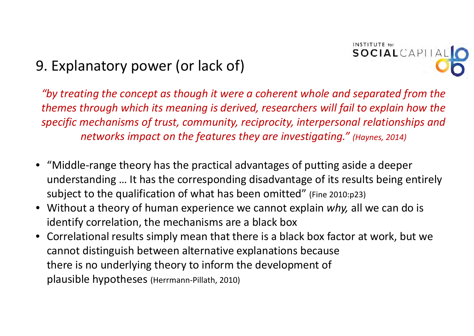

## 9. Explanatory power (or lack of)

*"by treating the concept as though it were <sup>a</sup> coherent whole and separated from the themes through which its meaning is derived, researchers will fail to explain how the specific mechanisms of trust, community, reciprocity, interpersonal relationships and networks impact on the features they are investigating." (Haynes, 2014)*

- "Middle‐range theory has the practical advantages of putting aside <sup>a</sup> deeper understanding … It has the corresponding disadvantage of its results being entirely subject to the qualification of what has been omitted" (Fine 2010:p23)
- Without <sup>a</sup> theory of human experience we cannot explain *why,* all we can do is identify correlation, the mechanisms are <sup>a</sup> black box
- Correlational results simply mean that there is <sup>a</sup> black box factor at work, but we cannot distinguish between alternative explanations because there is no underlying theory to inform the development of plausible hypotheses (Herrmann‐Pillath, 2010)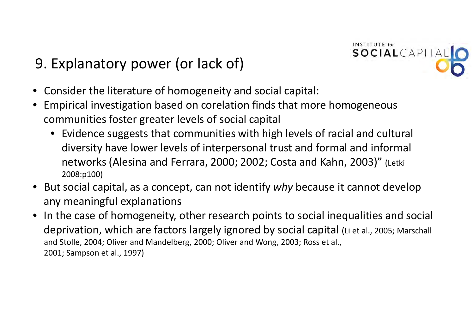## 9. Explanatory power (or lack of)



- Consider the literature of homogeneity and social capital:
- Empirical investigation based on corelation finds that more homogeneous communities foster greater levels of social capital
	- Evidence suggests that communities with high levels of racial and cultural diversity have lower levels of interpersonal trust and formal and informal networks (Alesina and Ferrara, 2000; 2002; Costa and Kahn, 2003)" (Letki 2008:p100)
- But social capital, as <sup>a</sup> concept, can not identify *why* because it cannot develop any meaningful explanations
- In the case of homogeneity, other research points to social inequalities and social deprivation, which are factors largely ignored by social capital (Li et al., 2005; Marschall and Stolle, 2004; Oliver and Mandelberg, 2000; Oliver and Wong, 2003; Ross et al., 2001; Sampson et al., 1997)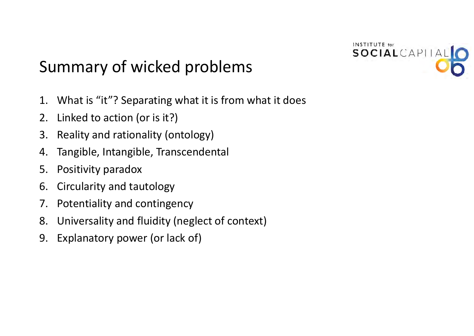

## Summary of wicked problems

- 1. What is "it"? Separating what it is from what it does
- 2. Linked to action (or is it?)
- 3. Reality and rationality (ontology)
- 4. Tangible, Intangible, Transcendental
- 5. Positivity paradox
- 6. Circularity and tautology
- 7. Potentiality and contingency
- 8. Universality and fluidity (neglect of context)
- 9. Explanatory power (or lack of)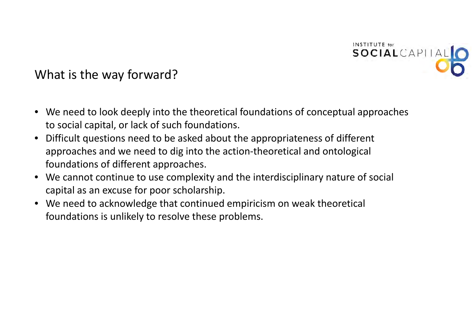

What is the way forward?

- We need to look deeply into the theoretical foundations of conceptual approaches to social capital, or lack of such foundations.
- $\bullet$  Difficult questions need to be asked about the appropriateness of different approaches and we need to dig into the action‐theoretical and ontological foundations of different approaches.
- We cannot continue to use complexity and the interdisciplinary nature of social capital as an excuse for poor scholarship.
- We need to acknowledge that continued empiricism on weak theoretical foundations is unlikely to resolve these problems.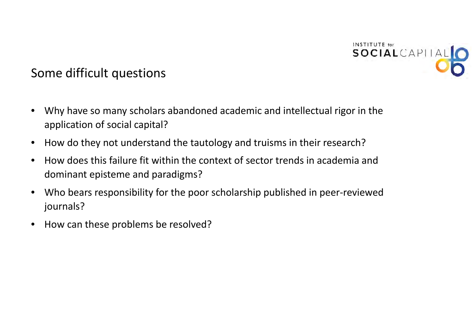

#### Some difficult questions

- • Why have so many scholars abandoned academic and intellectual rigor in the application of social capital?
- $\bullet$ • How do they not understand the tautology and truisms in their research?
- •**•** How does this failure fit within the context of sector trends in academia and dominant episteme and paradigms?
- $\bullet$  Who bears responsibility for the poor scholarship published in peer‐reviewed journals?
- •• How can these problems be resolved?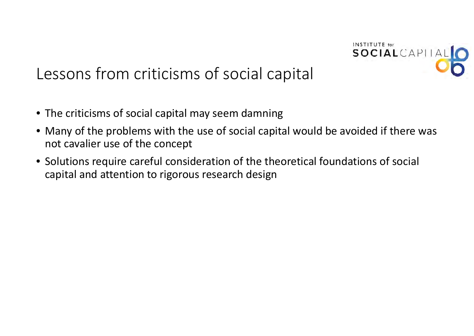

## Lessons from criticisms of social capital

- The criticisms of social capital may seem damning
- Many of the problems with the use of social capital would be avoided if there was not cavalier use of the concept
- Solutions require careful consideration of the theoretical foundations of social capital and attention to rigorous research design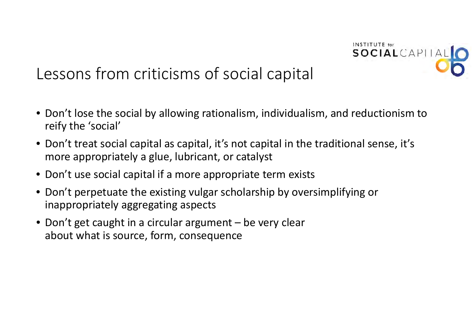

## Lessons from criticisms of social capital

- Don't lose the social by allowing rationalism, individualism, and reductionism to reify the 'social'
- Don't treat social capital as capital, it's not capital in the traditional sense, it's more appropriately <sup>a</sup> glue, lubricant, or catalyst
- Don't use social capital if <sup>a</sup> more appropriate term exists
- Don't perpetuate the existing vulgar scholarship by oversimplifying or inappropriately aggregating aspects
- Don't get caught in <sup>a</sup> circular argument be very clear about what is source, form, consequence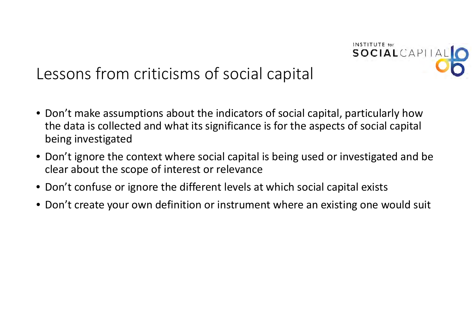

## Lessons from criticisms of social capital

- Don't make assumptions about the indicators of social capital, particularly how the data is collected and what its significance is for the aspects of social capital being investigated
- Don't ignore the context where social capital is being used or investigated and be clear about the scope of interest or relevance
- Don't confuse or ignore the different levels at which social capital exists
- Don't create your own definition or instrument where an existing one would suit